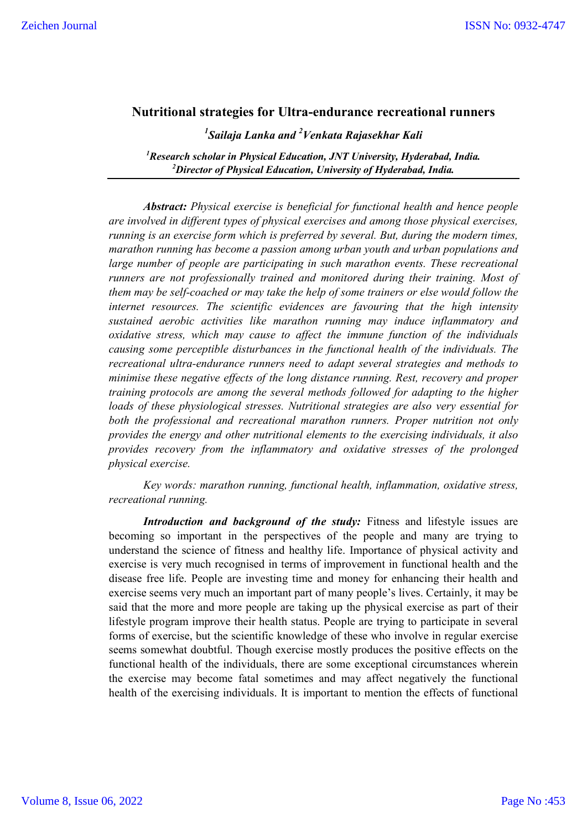## **Nutritional strategies for Ultra-endurance recreational runners**

*1 Sailaja Lanka and 2 Venkata Rajasekhar Kali*

*1 Research scholar in Physical Education, JNT University, Hyderabad, India. 2 Director of Physical Education, University of Hyderabad, India.* 

*Abstract: Physical exercise is beneficial for functional health and hence people are involved in different types of physical exercises and among those physical exercises, running is an exercise form which is preferred by several. But, during the modern times, marathon running has become a passion among urban youth and urban populations and large number of people are participating in such marathon events. These recreational runners are not professionally trained and monitored during their training. Most of them may be self-coached or may take the help of some trainers or else would follow the internet resources. The scientific evidences are favouring that the high intensity sustained aerobic activities like marathon running may induce inflammatory and oxidative stress, which may cause to affect the immune function of the individuals causing some perceptible disturbances in the functional health of the individuals. The recreational ultra-endurance runners need to adapt several strategies and methods to minimise these negative effects of the long distance running. Rest, recovery and proper training protocols are among the several methods followed for adapting to the higher loads of these physiological stresses. Nutritional strategies are also very essential for both the professional and recreational marathon runners. Proper nutrition not only provides the energy and other nutritional elements to the exercising individuals, it also provides recovery from the inflammatory and oxidative stresses of the prolonged physical exercise.* 

*Key words: marathon running, functional health, inflammation, oxidative stress, recreational running.* 

*Introduction and background of the study:* Fitness and lifestyle issues are becoming so important in the perspectives of the people and many are trying to understand the science of fitness and healthy life. Importance of physical activity and exercise is very much recognised in terms of improvement in functional health and the disease free life. People are investing time and money for enhancing their health and exercise seems very much an important part of many people's lives. Certainly, it may be said that the more and more people are taking up the physical exercise as part of their lifestyle program improve their health status. People are trying to participate in several forms of exercise, but the scientific knowledge of these who involve in regular exercise seems somewhat doubtful. Though exercise mostly produces the positive effects on the functional health of the individuals, there are some exceptional circumstances wherein the exercise may become fatal sometimes and may affect negatively the functional health of the exercising individuals. It is important to mention the effects of functional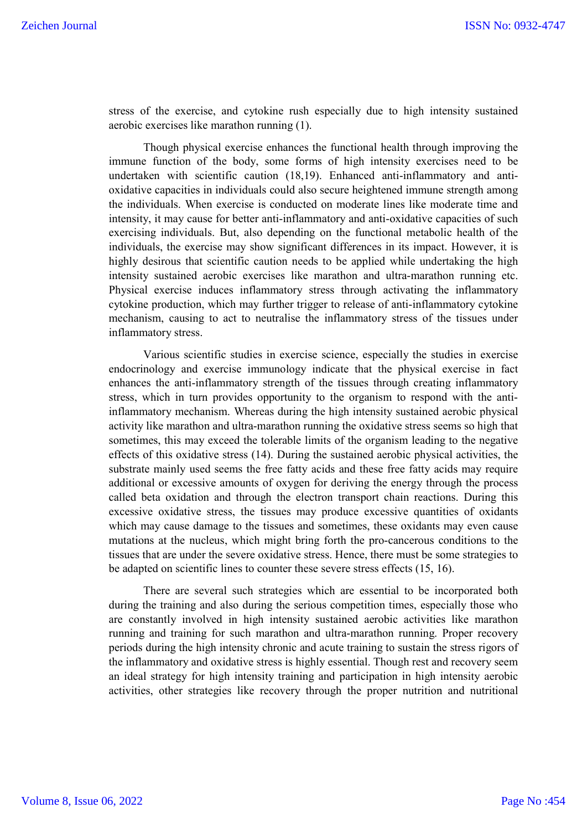stress of the exercise, and cytokine rush especially due to high intensity sustained aerobic exercises like marathon running (1).

Though physical exercise enhances the functional health through improving the immune function of the body, some forms of high intensity exercises need to be undertaken with scientific caution (18,19). Enhanced anti-inflammatory and antioxidative capacities in individuals could also secure heightened immune strength among the individuals. When exercise is conducted on moderate lines like moderate time and intensity, it may cause for better anti-inflammatory and anti-oxidative capacities of such exercising individuals. But, also depending on the functional metabolic health of the individuals, the exercise may show significant differences in its impact. However, it is highly desirous that scientific caution needs to be applied while undertaking the high intensity sustained aerobic exercises like marathon and ultra-marathon running etc. Physical exercise induces inflammatory stress through activating the inflammatory cytokine production, which may further trigger to release of anti-inflammatory cytokine mechanism, causing to act to neutralise the inflammatory stress of the tissues under inflammatory stress.

Various scientific studies in exercise science, especially the studies in exercise endocrinology and exercise immunology indicate that the physical exercise in fact enhances the anti-inflammatory strength of the tissues through creating inflammatory stress, which in turn provides opportunity to the organism to respond with the antiinflammatory mechanism. Whereas during the high intensity sustained aerobic physical activity like marathon and ultra-marathon running the oxidative stress seems so high that sometimes, this may exceed the tolerable limits of the organism leading to the negative effects of this oxidative stress (14). During the sustained aerobic physical activities, the substrate mainly used seems the free fatty acids and these free fatty acids may require additional or excessive amounts of oxygen for deriving the energy through the process called beta oxidation and through the electron transport chain reactions. During this excessive oxidative stress, the tissues may produce excessive quantities of oxidants which may cause damage to the tissues and sometimes, these oxidants may even cause mutations at the nucleus, which might bring forth the pro-cancerous conditions to the tissues that are under the severe oxidative stress. Hence, there must be some strategies to be adapted on scientific lines to counter these severe stress effects (15, 16).

There are several such strategies which are essential to be incorporated both during the training and also during the serious competition times, especially those who are constantly involved in high intensity sustained aerobic activities like marathon running and training for such marathon and ultra-marathon running. Proper recovery periods during the high intensity chronic and acute training to sustain the stress rigors of the inflammatory and oxidative stress is highly essential. Though rest and recovery seem an ideal strategy for high intensity training and participation in high intensity aerobic activities, other strategies like recovery through the proper nutrition and nutritional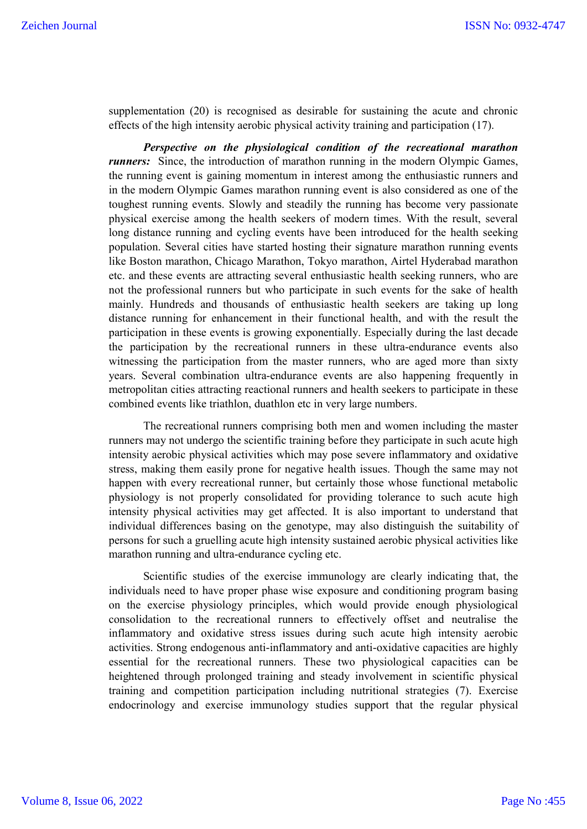supplementation (20) is recognised as desirable for sustaining the acute and chronic effects of the high intensity aerobic physical activity training and participation (17).

*Perspective on the physiological condition of the recreational marathon runners*: Since, the introduction of marathon running in the modern Olympic Games, the running event is gaining momentum in interest among the enthusiastic runners and in the modern Olympic Games marathon running event is also considered as one of the toughest running events. Slowly and steadily the running has become very passionate physical exercise among the health seekers of modern times. With the result, several long distance running and cycling events have been introduced for the health seeking population. Several cities have started hosting their signature marathon running events like Boston marathon, Chicago Marathon, Tokyo marathon, Airtel Hyderabad marathon etc. and these events are attracting several enthusiastic health seeking runners, who are not the professional runners but who participate in such events for the sake of health mainly. Hundreds and thousands of enthusiastic health seekers are taking up long distance running for enhancement in their functional health, and with the result the participation in these events is growing exponentially. Especially during the last decade the participation by the recreational runners in these ultra-endurance events also witnessing the participation from the master runners, who are aged more than sixty years. Several combination ultra-endurance events are also happening frequently in metropolitan cities attracting reactional runners and health seekers to participate in these combined events like triathlon, duathlon etc in very large numbers.

The recreational runners comprising both men and women including the master runners may not undergo the scientific training before they participate in such acute high intensity aerobic physical activities which may pose severe inflammatory and oxidative stress, making them easily prone for negative health issues. Though the same may not happen with every recreational runner, but certainly those whose functional metabolic physiology is not properly consolidated for providing tolerance to such acute high intensity physical activities may get affected. It is also important to understand that individual differences basing on the genotype, may also distinguish the suitability of persons for such a gruelling acute high intensity sustained aerobic physical activities like marathon running and ultra-endurance cycling etc.

Scientific studies of the exercise immunology are clearly indicating that, the individuals need to have proper phase wise exposure and conditioning program basing on the exercise physiology principles, which would provide enough physiological consolidation to the recreational runners to effectively offset and neutralise the inflammatory and oxidative stress issues during such acute high intensity aerobic activities. Strong endogenous anti-inflammatory and anti-oxidative capacities are highly essential for the recreational runners. These two physiological capacities can be heightened through prolonged training and steady involvement in scientific physical training and competition participation including nutritional strategies (7). Exercise endocrinology and exercise immunology studies support that the regular physical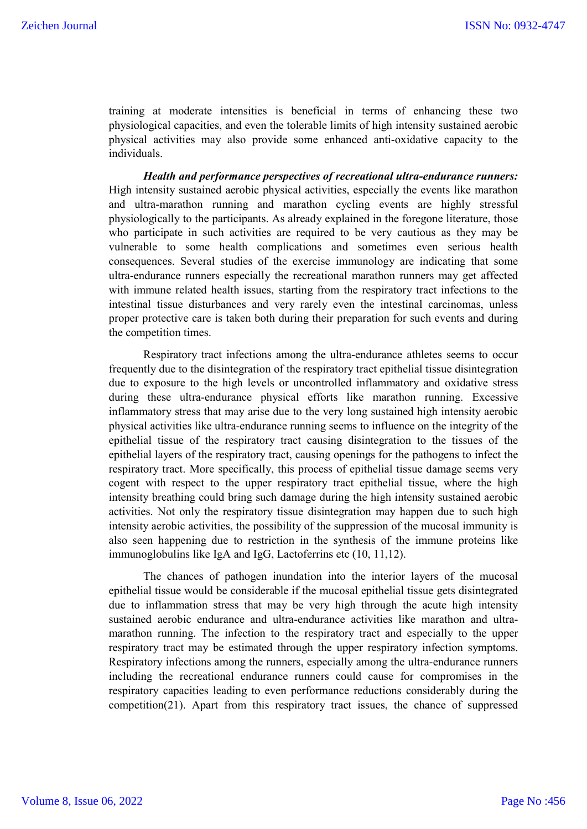training at moderate intensities is beneficial in terms of enhancing these two physiological capacities, and even the tolerable limits of high intensity sustained aerobic physical activities may also provide some enhanced anti-oxidative capacity to the individuals.

*Health and performance perspectives of recreational ultra-endurance runners:*  High intensity sustained aerobic physical activities, especially the events like marathon and ultra-marathon running and marathon cycling events are highly stressful physiologically to the participants. As already explained in the foregone literature, those who participate in such activities are required to be very cautious as they may be vulnerable to some health complications and sometimes even serious health consequences. Several studies of the exercise immunology are indicating that some ultra-endurance runners especially the recreational marathon runners may get affected with immune related health issues, starting from the respiratory tract infections to the intestinal tissue disturbances and very rarely even the intestinal carcinomas, unless proper protective care is taken both during their preparation for such events and during the competition times.

Respiratory tract infections among the ultra-endurance athletes seems to occur frequently due to the disintegration of the respiratory tract epithelial tissue disintegration due to exposure to the high levels or uncontrolled inflammatory and oxidative stress during these ultra-endurance physical efforts like marathon running. Excessive inflammatory stress that may arise due to the very long sustained high intensity aerobic physical activities like ultra-endurance running seems to influence on the integrity of the epithelial tissue of the respiratory tract causing disintegration to the tissues of the epithelial layers of the respiratory tract, causing openings for the pathogens to infect the respiratory tract. More specifically, this process of epithelial tissue damage seems very cogent with respect to the upper respiratory tract epithelial tissue, where the high intensity breathing could bring such damage during the high intensity sustained aerobic activities. Not only the respiratory tissue disintegration may happen due to such high intensity aerobic activities, the possibility of the suppression of the mucosal immunity is also seen happening due to restriction in the synthesis of the immune proteins like immunoglobulins like IgA and IgG, Lactoferrins etc (10, 11,12).

The chances of pathogen inundation into the interior layers of the mucosal epithelial tissue would be considerable if the mucosal epithelial tissue gets disintegrated due to inflammation stress that may be very high through the acute high intensity sustained aerobic endurance and ultra-endurance activities like marathon and ultramarathon running. The infection to the respiratory tract and especially to the upper respiratory tract may be estimated through the upper respiratory infection symptoms. Respiratory infections among the runners, especially among the ultra-endurance runners including the recreational endurance runners could cause for compromises in the respiratory capacities leading to even performance reductions considerably during the competition(21). Apart from this respiratory tract issues, the chance of suppressed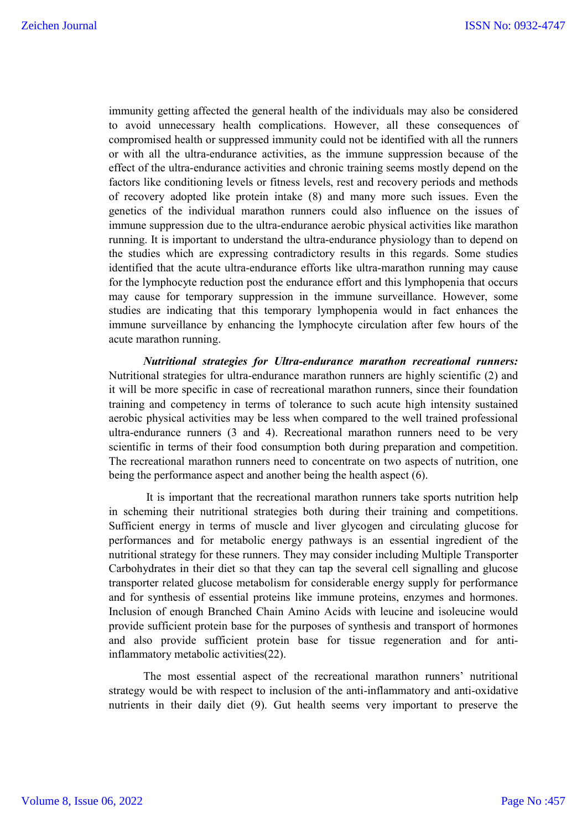immunity getting affected the general health of the individuals may also be considered to avoid unnecessary health complications. However, all these consequences of compromised health or suppressed immunity could not be identified with all the runners or with all the ultra-endurance activities, as the immune suppression because of the effect of the ultra-endurance activities and chronic training seems mostly depend on the factors like conditioning levels or fitness levels, rest and recovery periods and methods of recovery adopted like protein intake (8) and many more such issues. Even the genetics of the individual marathon runners could also influence on the issues of immune suppression due to the ultra-endurance aerobic physical activities like marathon running. It is important to understand the ultra-endurance physiology than to depend on the studies which are expressing contradictory results in this regards. Some studies identified that the acute ultra-endurance efforts like ultra-marathon running may cause for the lymphocyte reduction post the endurance effort and this lymphopenia that occurs may cause for temporary suppression in the immune surveillance. However, some studies are indicating that this temporary lymphopenia would in fact enhances the immune surveillance by enhancing the lymphocyte circulation after few hours of the acute marathon running.

*Nutritional strategies for Ultra-endurance marathon recreational runners:*  Nutritional strategies for ultra-endurance marathon runners are highly scientific (2) and it will be more specific in case of recreational marathon runners, since their foundation training and competency in terms of tolerance to such acute high intensity sustained aerobic physical activities may be less when compared to the well trained professional ultra-endurance runners (3 and 4). Recreational marathon runners need to be very scientific in terms of their food consumption both during preparation and competition. The recreational marathon runners need to concentrate on two aspects of nutrition, one being the performance aspect and another being the health aspect (6).

It is important that the recreational marathon runners take sports nutrition help in scheming their nutritional strategies both during their training and competitions. Sufficient energy in terms of muscle and liver glycogen and circulating glucose for performances and for metabolic energy pathways is an essential ingredient of the nutritional strategy for these runners. They may consider including Multiple Transporter Carbohydrates in their diet so that they can tap the several cell signalling and glucose transporter related glucose metabolism for considerable energy supply for performance and for synthesis of essential proteins like immune proteins, enzymes and hormones. Inclusion of enough Branched Chain Amino Acids with leucine and isoleucine would provide sufficient protein base for the purposes of synthesis and transport of hormones and also provide sufficient protein base for tissue regeneration and for antiinflammatory metabolic activities(22).

The most essential aspect of the recreational marathon runners' nutritional strategy would be with respect to inclusion of the anti-inflammatory and anti-oxidative nutrients in their daily diet (9). Gut health seems very important to preserve the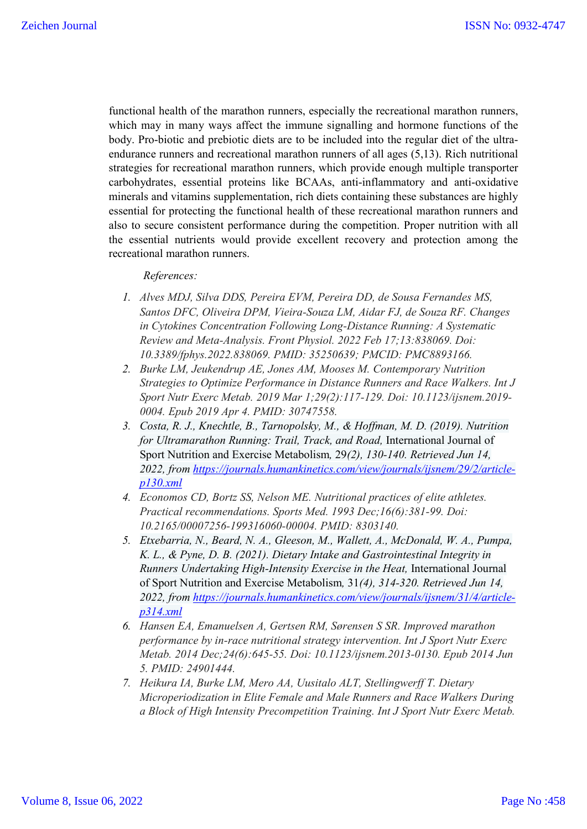functional health of the marathon runners, especially the recreational marathon runners, which may in many ways affect the immune signalling and hormone functions of the body. Pro-biotic and prebiotic diets are to be included into the regular diet of the ultraendurance runners and recreational marathon runners of all ages (5,13). Rich nutritional strategies for recreational marathon runners, which provide enough multiple transporter carbohydrates, essential proteins like BCAAs, anti-inflammatory and anti-oxidative minerals and vitamins supplementation, rich diets containing these substances are highly essential for protecting the functional health of these recreational marathon runners and also to secure consistent performance during the competition. Proper nutrition with all the essential nutrients would provide excellent recovery and protection among the recreational marathon runners.

*References:*

- *1. Alves MDJ, Silva DDS, Pereira EVM, Pereira DD, de Sousa Fernandes MS, Santos DFC, Oliveira DPM, Vieira-Souza LM, Aidar FJ, de Souza RF. Changes in Cytokines Concentration Following Long-Distance Running: A Systematic Review and Meta-Analysis. Front Physiol. 2022 Feb 17;13:838069. Doi: 10.3389/fphys.2022.838069. PMID: 35250639; PMCID: PMC8893166.*
- *2. Burke LM, Jeukendrup AE, Jones AM, Mooses M. Contemporary Nutrition Strategies to Optimize Performance in Distance Runners and Race Walkers. Int J Sport Nutr Exerc Metab. 2019 Mar 1;29(2):117-129. Doi: 10.1123/ijsnem.2019- 0004. Epub 2019 Apr 4. PMID: 30747558.*
- *3. Costa, R. J., Knechtle, B., Tarnopolsky, M., & Hoffman, M. D. (2019). Nutrition for Ultramarathon Running: Trail, Track, and Road,* International Journal of Sport Nutrition and Exercise Metabolism*,* 29*(2), 130-140. Retrieved Jun 14, 2022, from https://journals.humankinetics.com/view/journals/ijsnem/29/2/articlep130.xml*
- *4. Economos CD, Bortz SS, Nelson ME. Nutritional practices of elite athletes. Practical recommendations. Sports Med. 1993 Dec;16(6):381-99. Doi: 10.2165/00007256-199316060-00004. PMID: 8303140.*
- *5. Etxebarria, N., Beard, N. A., Gleeson, M., Wallett, A., McDonald, W. A., Pumpa, K. L., & Pyne, D. B. (2021). Dietary Intake and Gastrointestinal Integrity in Runners Undertaking High-Intensity Exercise in the Heat,* International Journal of Sport Nutrition and Exercise Metabolism*,* 31*(4), 314-320. Retrieved Jun 14, 2022, from https://journals.humankinetics.com/view/journals/ijsnem/31/4/articlep314.xml*
- *6. Hansen EA, Emanuelsen A, Gertsen RM, Sørensen S SR. Improved marathon performance by in-race nutritional strategy intervention. Int J Sport Nutr Exerc Metab. 2014 Dec;24(6):645-55. Doi: 10.1123/ijsnem.2013-0130. Epub 2014 Jun 5. PMID: 24901444.*
- *7. Heikura IA, Burke LM, Mero AA, Uusitalo ALT, Stellingwerff T. Dietary Microperiodization in Elite Female and Male Runners and Race Walkers During a Block of High Intensity Precompetition Training. Int J Sport Nutr Exerc Metab.*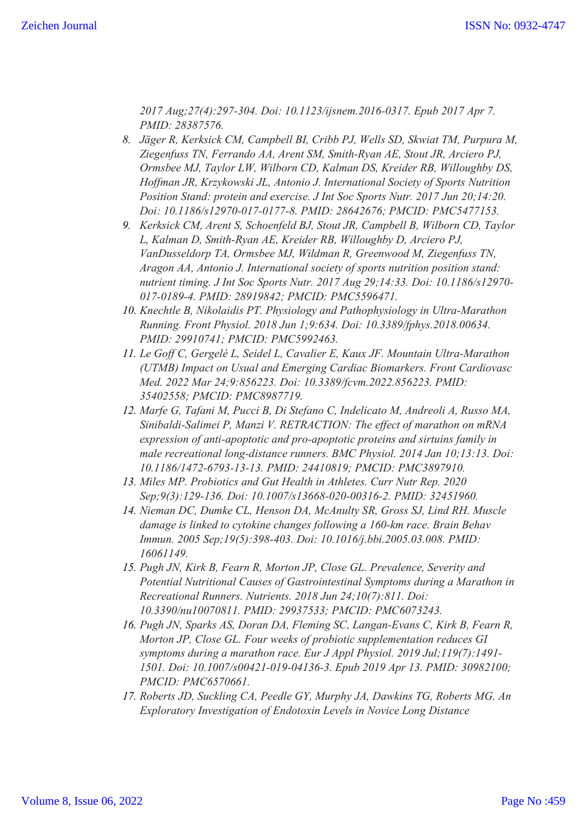*2017 Aug;27(4):297-304. Doi: 10.1123/ijsnem.2016-0317. Epub 2017 Apr 7. PMID: 28387576.*

- *8. Jäger R, Kerksick CM, Campbell BI, Cribb PJ, Wells SD, Skwiat TM, Purpura M, Ziegenfuss TN, Ferrando AA, Arent SM, Smith-Ryan AE, Stout JR, Arciero PJ, Ormsbee MJ, Taylor LW, Wilborn CD, Kalman DS, Kreider RB, Willoughby DS, Hoffman JR, Krzykowski JL, Antonio J. International Society of Sports Nutrition Position Stand: protein and exercise. J Int Soc Sports Nutr. 2017 Jun 20;14:20. Doi: 10.1186/s12970-017-0177-8. PMID: 28642676; PMCID: PMC5477153.*
- *9. Kerksick CM, Arent S, Schoenfeld BJ, Stout JR, Campbell B, Wilborn CD, Taylor L, Kalman D, Smith-Ryan AE, Kreider RB, Willoughby D, Arciero PJ, VanDusseldorp TA, Ormsbee MJ, Wildman R, Greenwood M, Ziegenfuss TN, Aragon AA, Antonio J. International society of sports nutrition position stand: nutrient timing. J Int Soc Sports Nutr. 2017 Aug 29;14:33. Doi: 10.1186/s12970- 017-0189-4. PMID: 28919842; PMCID: PMC5596471.*
- *10. Knechtle B, Nikolaidis PT. Physiology and Pathophysiology in Ultra-Marathon Running. Front Physiol. 2018 Jun 1;9:634. Doi: 10.3389/fphys.2018.00634. PMID: 29910741; PMCID: PMC5992463.*
- *11. Le Goff C, Gergelé L, Seidel L, Cavalier E, Kaux JF. Mountain Ultra-Marathon (UTMB) Impact on Usual and Emerging Cardiac Biomarkers. Front Cardiovasc Med. 2022 Mar 24;9:856223. Doi: 10.3389/fcvm.2022.856223. PMID: 35402558; PMCID: PMC8987719.*
- *12. Marfe G, Tafani M, Pucci B, Di Stefano C, Indelicato M, Andreoli A, Russo MA, Sinibaldi-Salimei P, Manzi V. RETRACTION: The effect of marathon on mRNA expression of anti-apoptotic and pro-apoptotic proteins and sirtuins family in male recreational long-distance runners. BMC Physiol. 2014 Jan 10;13:13. Doi: 10.1186/1472-6793-13-13. PMID: 24410819; PMCID: PMC3897910.*
- *13. Miles MP. Probiotics and Gut Health in Athletes. Curr Nutr Rep. 2020 Sep;9(3):129-136. Doi: 10.1007/s13668-020-00316-2. PMID: 32451960.*
- *14. Nieman DC, Dumke CL, Henson DA, McAnulty SR, Gross SJ, Lind RH. Muscle damage is linked to cytokine changes following a 160-km race. Brain Behav Immun. 2005 Sep;19(5):398-403. Doi: 10.1016/j.bbi.2005.03.008. PMID: 16061149.*
- *15. Pugh JN, Kirk B, Fearn R, Morton JP, Close GL. Prevalence, Severity and Potential Nutritional Causes of Gastrointestinal Symptoms during a Marathon in Recreational Runners. Nutrients. 2018 Jun 24;10(7):811. Doi: 10.3390/nu10070811. PMID: 29937533; PMCID: PMC6073243.*
- *16. Pugh JN, Sparks AS, Doran DA, Fleming SC, Langan-Evans C, Kirk B, Fearn R, Morton JP, Close GL. Four weeks of probiotic supplementation reduces GI symptoms during a marathon race. Eur J Appl Physiol. 2019 Jul;119(7):1491- 1501. Doi: 10.1007/s00421-019-04136-3. Epub 2019 Apr 13. PMID: 30982100; PMCID: PMC6570661.*
- *17. Roberts JD, Suckling CA, Peedle GY, Murphy JA, Dawkins TG, Roberts MG. An Exploratory Investigation of Endotoxin Levels in Novice Long Distance*